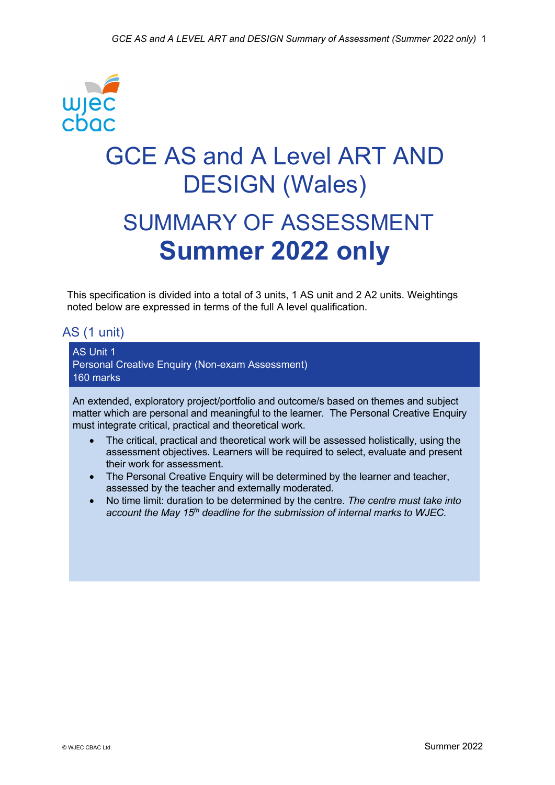

This specification is divided into a total of 3 units, 1 AS unit and 2 A2 units. Weightings noted below are expressed in terms of the full A level qualification.

# AS (1 unit)

AS Unit 1 Personal Creative Enquiry (Non-exam Assessment) 160 marks

An extended, exploratory project/portfolio and outcome/s based on themes and subject matter which are personal and meaningful to the learner. The Personal Creative Enquiry must integrate critical, practical and theoretical work.

- The critical, practical and theoretical work will be assessed holistically, using the assessment objectives. Learners will be required to select, evaluate and present their work for assessment.
- The Personal Creative Enquiry will be determined by the learner and teacher, assessed by the teacher and externally moderated.
- No time limit: duration to be determined by the centre. *The centre must take into account the May 15th deadline for the submission of internal marks to WJEC.*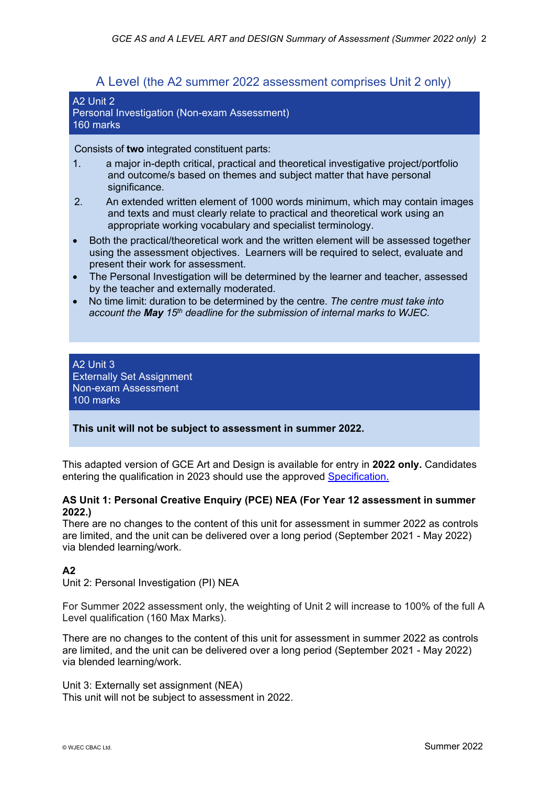## A Level (the A2 summer 2022 assessment comprises Unit 2 only)

#### A2 Unit 2 Personal Investigation (Non-exam Assessment) 160 marks

Consists of **two** integrated constituent parts:

- 1. a major in-depth critical, practical and theoretical investigative project/portfolio and outcome/s based on themes and subject matter that have personal significance.
- 2. An extended written element of 1000 words minimum, which may contain images and texts and must clearly relate to practical and theoretical work using an appropriate working vocabulary and specialist terminology.
- Both the practical/theoretical work and the written element will be assessed together using the assessment objectives. Learners will be required to select, evaluate and present their work for assessment.
- The Personal Investigation will be determined by the learner and teacher, assessed by the teacher and externally moderated.
- No time limit: duration to be determined by the centre. *The centre must take into account the May 15th deadline for the submission of internal marks to WJEC.*

#### A2 Unit 3 Externally Set Assignment Non-exam Assessment 100 marks

#### **This unit will not be subject to assessment in summer 2022.**

This adapted version of GCE Art and Design is available for entry in **2022 only.** Candidates entering the qualification in 2023 should use the approved [Specification.](https://www.wjec.co.uk/media/4b5ftor0/wjec-gce-art-and-design-spec-from-2015-e.pdf)

#### **AS Unit 1: Personal Creative Enquiry (PCE) NEA (For Year 12 assessment in summer 2022.)**

There are no changes to the content of this unit for assessment in summer 2022 as controls are limited, and the unit can be delivered over a long period (September 2021 - May 2022) via blended learning/work.

### **A2**

Unit 2: Personal Investigation (PI) NEA

For Summer 2022 assessment only, the weighting of Unit 2 will increase to 100% of the full A Level qualification (160 Max Marks).

There are no changes to the content of this unit for assessment in summer 2022 as controls are limited, and the unit can be delivered over a long period (September 2021 - May 2022) via blended learning/work.

Unit 3: Externally set assignment (NEA) This unit will not be subject to assessment in 2022.